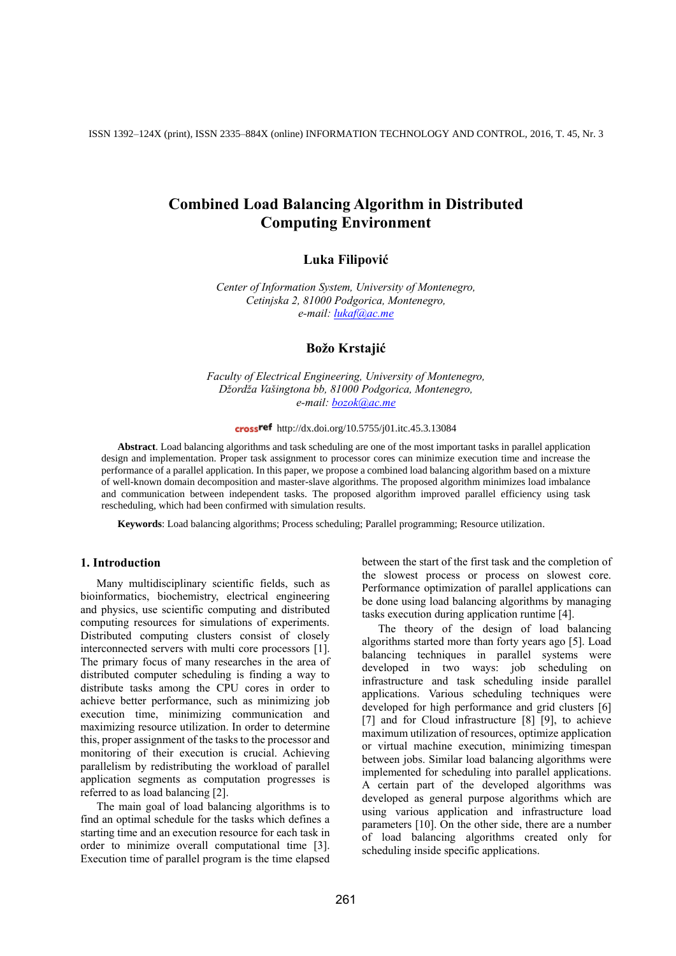ISSN 1392–124X (print), ISSN 2335–884X (online) INFORMATION TECHNOLOGY AND CONTROL, 2016, T. 45, Nr. 3

# **Combined Load Balancing Algorithm in Distributed Computing Environment**

# **Luka Filipović**

*Center of Information System, University of Montenegro, Cetinjska 2, 81000 Podgorica, Montenegro, e-mail: [lukaf@ac.me](mailto:lukaf@ac.me)*

# **Božo Krstajić**

*Faculty of Electrical Engineering, University of Montenegro, Džordža Vašingtona bb, 81000 Podgorica, Montenegro, e-mail: [bozok@ac.me](mailto:bozok@ac.me)*

### http://dx.doi.org/10.5755/j01.itc.45.3.13084

**Abstract**. Load balancing algorithms and task scheduling are one of the most important tasks in parallel application design and implementation. Proper task assignment to processor cores can minimize execution time and increase the performance of a parallel application. In this paper, we propose a combined load balancing algorithm based on a mixture of well-known domain decomposition and master-slave algorithms. The proposed algorithm minimizes load imbalance and communication between independent tasks. The proposed algorithm improved parallel efficiency using task rescheduling, which had been confirmed with simulation results.

**Keywords**: Load balancing algorithms; Process scheduling; Parallel programming; Resource utilization.

#### **1. Introduction**

Many multidisciplinary scientific fields, such as bioinformatics, biochemistry, electrical engineering and physics, use scientific computing and distributed computing resources for simulations of experiments. Distributed computing clusters consist of closely interconnected servers with multi core processors [1]. The primary focus of many researches in the area of distributed computer scheduling is finding a way to distribute tasks among the CPU cores in order to achieve better performance, such as minimizing job execution time, minimizing communication and maximizing resource utilization. In order to determine this, proper assignment of the tasks to the processor and monitoring of their execution is crucial. Achieving parallelism by redistributing the workload of parallel application segments as computation progresses is referred to as load balancing [2].

The main goal of load balancing algorithms is to find an optimal schedule for the tasks which defines a starting time and an execution resource for each task in order to minimize overall computational time [3]. Execution time of parallel program is the time elapsed between the start of the first task and the completion of the slowest process or process on slowest core. Performance optimization of parallel applications can be done using load balancing algorithms by managing tasks execution during application runtime [4].

The theory of the design of load balancing algorithms started more than forty years ago [5]. Load balancing techniques in parallel systems were developed in two ways: job scheduling on infrastructure and task scheduling inside parallel applications. Various scheduling techniques were developed for high performance and grid clusters [6] [7] and for Cloud infrastructure [8] [9], to achieve maximum utilization of resources, optimize application or virtual machine execution, minimizing timespan between jobs. Similar load balancing algorithms were implemented for scheduling into parallel applications. A certain part of the developed algorithms was developed as general purpose algorithms which are using various application and infrastructure load parameters [10]. On the other side, there are a number of load balancing algorithms created only for scheduling inside specific applications.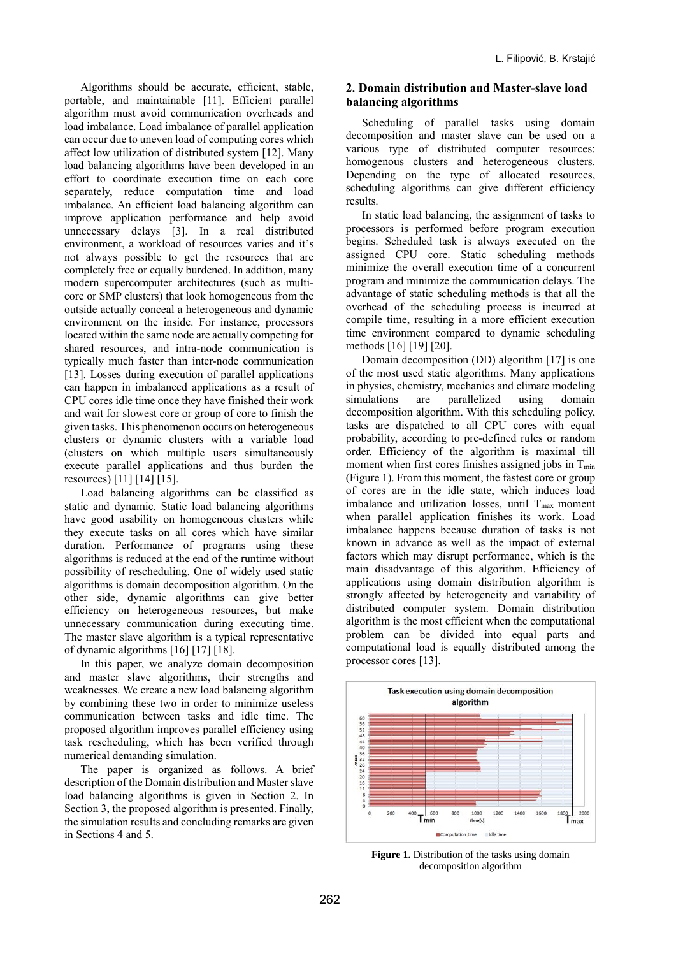Algorithms should be accurate, efficient, stable, portable, and maintainable [11]. Efficient parallel algorithm must avoid communication overheads and load imbalance. Load imbalance of parallel application can occur due to uneven load of computing cores which affect low utilization of distributed system [12]. Many load balancing algorithms have been developed in an effort to coordinate execution time on each core separately, reduce computation time and load imbalance. An efficient load balancing algorithm can improve application performance and help avoid unnecessary delays [3]. In a real distributed environment, a workload of resources varies and it's not always possible to get the resources that are completely free or equally burdened. In addition, many modern supercomputer architectures (such as multicore or SMP clusters) that look homogeneous from the outside actually conceal a heterogeneous and dynamic environment on the inside. For instance, processors located within the same node are actually competing for shared resources, and intra-node communication is typically much faster than inter-node communication [13]. Losses during execution of parallel applications can happen in imbalanced applications as a result of CPU cores idle time once they have finished their work and wait for slowest core or group of core to finish the given tasks. This phenomenon occurs on heterogeneous clusters or dynamic clusters with a variable load (clusters on which multiple users simultaneously execute parallel applications and thus burden the resources) [11] [14] [15].

Load balancing algorithms can be classified as static and dynamic. Static load balancing algorithms have good usability on homogeneous clusters while they execute tasks on all cores which have similar duration. Performance of programs using these algorithms is reduced at the end of the runtime without possibility of rescheduling. One of widely used static algorithms is domain decomposition algorithm. On the other side, dynamic algorithms can give better efficiency on heterogeneous resources, but make unnecessary communication during executing time. The master slave algorithm is a typical representative of dynamic algorithms [16] [17] [18].

In this paper, we analyze domain decomposition and master slave algorithms, their strengths and weaknesses. We create a new load balancing algorithm by combining these two in order to minimize useless communication between tasks and idle time. The proposed algorithm improves parallel efficiency using task rescheduling, which has been verified through numerical demanding simulation.

The paper is organized as follows. A brief description of the Domain distribution and Master slave load balancing algorithms is given in Section 2. In Section 3, the proposed algorithm is presented. Finally, the simulation results and concluding remarks are given in Sections 4 and 5.

## **2. Domain distribution and Master-slave load balancing algorithms**

Scheduling of parallel tasks using domain decomposition and master slave can be used on a various type of distributed computer resources: homogenous clusters and heterogeneous clusters. Depending on the type of allocated resources, scheduling algorithms can give different efficiency results.

In static load balancing, the assignment of tasks to processors is performed before program execution begins. Scheduled task is always executed on the assigned CPU core. Static scheduling methods minimize the overall execution time of a concurrent program and minimize the communication delays. The advantage of static scheduling methods is that all the overhead of the scheduling process is incurred at compile time, resulting in a more efficient execution time environment compared to dynamic scheduling methods [16] [19] [20].

Domain decomposition (DD) algorithm [17] is one of the most used static algorithms. Many applications in physics, chemistry, mechanics and climate modeling simulations are parallelized using domain decomposition algorithm. With this scheduling policy, tasks are dispatched to all CPU cores with equal probability, according to pre-defined rules or random order. Efficiency of the algorithm is maximal till moment when first cores finishes assigned jobs in  $T_{min}$ (Figure 1). From this moment, the fastest core or group of cores are in the idle state, which induces load imbalance and utilization losses, until  $T_{\text{max}}$  moment when parallel application finishes its work. Load imbalance happens because duration of tasks is not known in advance as well as the impact of external factors which may disrupt performance, which is the main disadvantage of this algorithm. Efficiency of applications using domain distribution algorithm is strongly affected by heterogeneity and variability of distributed computer system. Domain distribution algorithm is the most efficient when the computational problem can be divided into equal parts and computational load is equally distributed among the processor cores [13].



**Figure 1.** Distribution of the tasks using domain decomposition algorithm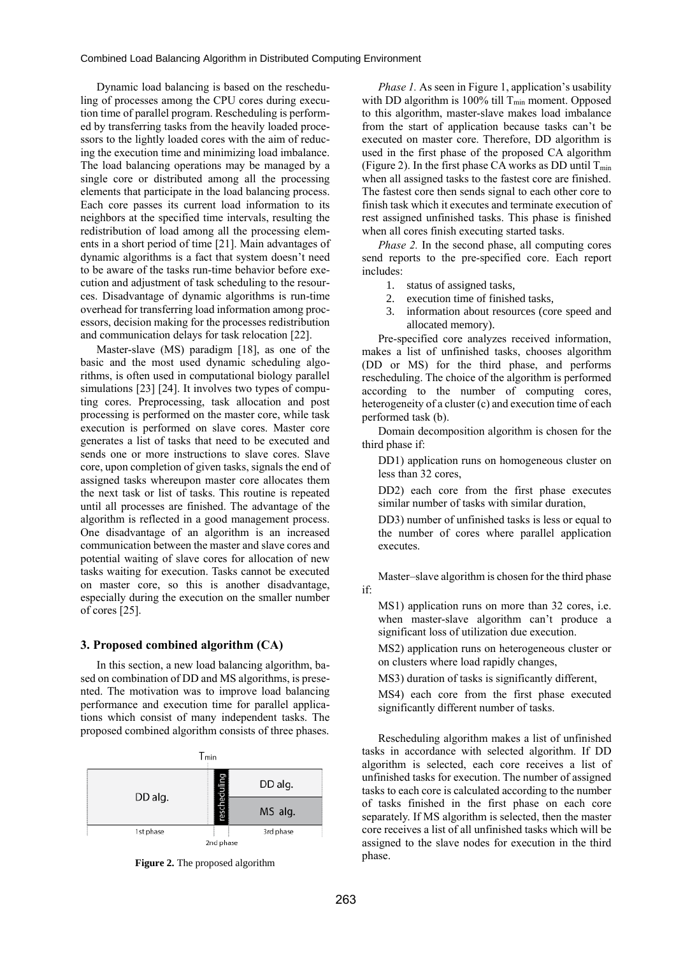Dynamic load balancing is based on the rescheduling of processes among the CPU cores during execution time of parallel program. Rescheduling is performed by transferring tasks from the heavily loaded processors to the lightly loaded cores with the aim of reducing the execution time and minimizing load imbalance. The load balancing operations may be managed by a single core or distributed among all the processing elements that participate in the load balancing process. Each core passes its current load information to its neighbors at the specified time intervals, resulting the redistribution of load among all the processing elements in a short period of time [21]. Main advantages of dynamic algorithms is a fact that system doesn't need to be aware of the tasks run-time behavior before execution and adjustment of task scheduling to the resources. Disadvantage of dynamic algorithms is run-time overhead for transferring load information among processors, decision making for the processes redistribution and communication delays for task relocation [22].

Master-slave (MS) paradigm [18], as one of the basic and the most used dynamic scheduling algorithms, is often used in computational biology parallel simulations [23] [24]. It involves two types of computing cores. Preprocessing, task allocation and post processing is performed on the master core, while task execution is performed on slave cores. Master core generates a list of tasks that need to be executed and sends one or more instructions to slave cores. Slave core, upon completion of given tasks, signals the end of assigned tasks whereupon master core allocates them the next task or list of tasks. This routine is repeated until all processes are finished. The advantage of the algorithm is reflected in a good management process. One disadvantage of an algorithm is an increased communication between the master and slave cores and potential waiting of slave cores for allocation of new tasks waiting for execution. Tasks cannot be executed on master core, so this is another disadvantage, especially during the execution on the smaller number of cores [25].

#### **3. Proposed combined algorithm (CA)**

In this section, a new load balancing algorithm, based on combination of DD and MS algorithms, is presented. The motivation was to improve load balancing performance and execution time for parallel applications which consist of many independent tasks. The proposed combined algorithm consists of three phases.



**Figure 2.** The proposed algorithm

*Phase 1.* As seen in Figure 1, application's usability with DD algorithm is 100% till  $T_{min}$  moment. Opposed to this algorithm, master-slave makes load imbalance from the start of application because tasks can't be executed on master core. Therefore, DD algorithm is used in the first phase of the proposed CA algorithm (Figure 2). In the first phase CA works as DD until  $T_{\text{min}}$ when all assigned tasks to the fastest core are finished. The fastest core then sends signal to each other core to finish task which it executes and terminate execution of rest assigned unfinished tasks. This phase is finished when all cores finish executing started tasks.

*Phase 2.* In the second phase, all computing cores send reports to the pre-specified core. Each report includes:

- 1. status of assigned tasks,
- 2. execution time of finished tasks,
- 3. information about resources (core speed and allocated memory).

Pre-specified core analyzes received information, makes a list of unfinished tasks, chooses algorithm (DD or MS) for the third phase, and performs rescheduling. The choice of the algorithm is performed according to the number of computing cores, heterogeneity of a cluster (c) and execution time of each performed task (b).

Domain decomposition algorithm is chosen for the third phase if:

DD1) application runs on homogeneous cluster on less than 32 cores,

DD2) each core from the first phase executes similar number of tasks with similar duration,

DD3) number of unfinished tasks is less or equal to the number of cores where parallel application executes.

Master–slave algorithm is chosen for the third phase if:

MS1) application runs on more than 32 cores, i.e. when master-slave algorithm can't produce a significant loss of utilization due execution.

MS2) application runs on heterogeneous cluster or on clusters where load rapidly changes,

MS3) duration of tasks is significantly different,

MS4) each core from the first phase executed significantly different number of tasks.

Rescheduling algorithm makes a list of unfinished tasks in accordance with selected algorithm. If DD algorithm is selected, each core receives a list of unfinished tasks for execution. The number of assigned tasks to each core is calculated according to the number of tasks finished in the first phase on each core separately. If MS algorithm is selected, then the master core receives a list of all unfinished tasks which will be assigned to the slave nodes for execution in the third phase.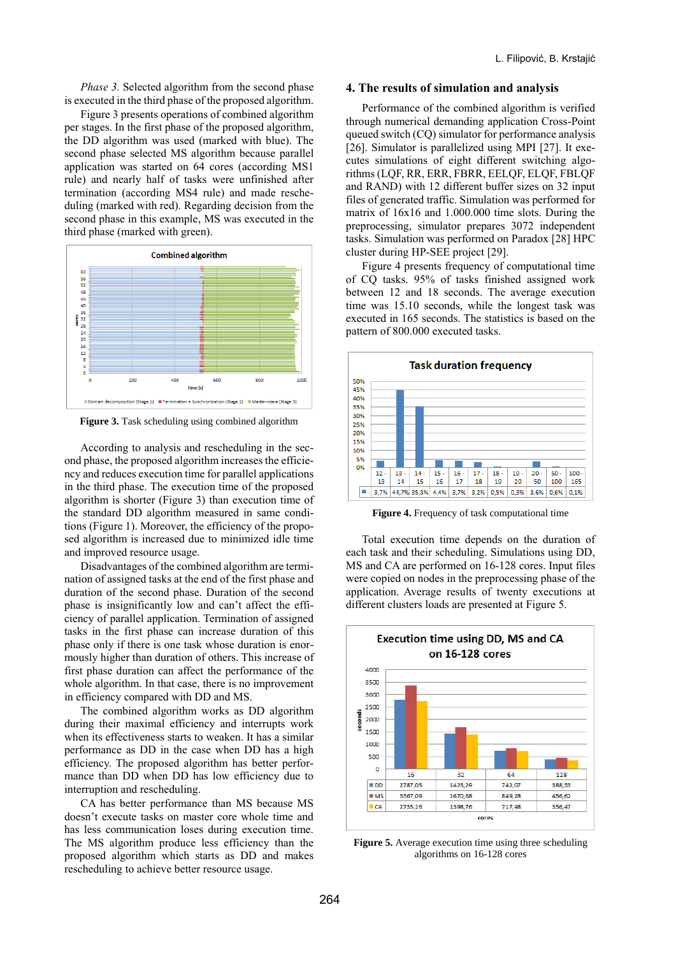*Phase 3.* Selected algorithm from the second phase is executed in the third phase of the proposed algorithm.

Figure 3 presents operations of combined algorithm per stages. In the first phase of the proposed algorithm, the DD algorithm was used (marked with blue). The second phase selected MS algorithm because parallel application was started on 64 cores (according MS1 rule) and nearly half of tasks were unfinished after termination (according MS4 rule) and made rescheduling (marked with red). Regarding decision from the second phase in this example, MS was executed in the third phase (marked with green).



**Figure 3.** Task scheduling using combined algorithm

According to analysis and rescheduling in the second phase, the proposed algorithm increases the efficiency and reduces execution time for parallel applications in the third phase. The execution time of the proposed algorithm is shorter (Figure 3) than execution time of the standard DD algorithm measured in same conditions (Figure 1). Moreover, the efficiency of the proposed algorithm is increased due to minimized idle time and improved resource usage.

Disadvantages of the combined algorithm are termination of assigned tasks at the end of the first phase and duration of the second phase. Duration of the second phase is insignificantly low and can't affect the efficiency of parallel application. Termination of assigned tasks in the first phase can increase duration of this phase only if there is one task whose duration is enormously higher than duration of others. This increase of first phase duration can affect the performance of the whole algorithm. In that case, there is no improvement in efficiency compared with DD and MS.

The combined algorithm works as DD algorithm during their maximal efficiency and interrupts work when its effectiveness starts to weaken. It has a similar performance as DD in the case when DD has a high efficiency. The proposed algorithm has better performance than DD when DD has low efficiency due to interruption and rescheduling.

CA has better performance than MS because MS doesn't execute tasks on master core whole time and has less communication loses during execution time. The MS algorithm produce less efficiency than the proposed algorithm which starts as DD and makes rescheduling to achieve better resource usage.

#### **4. The results of simulation and analysis**

Performance of the combined algorithm is verified through numerical demanding application Cross-Point queued switch (CQ) simulator for performance analysis [26]. Simulator is parallelized using MPI [27]. It executes simulations of eight different switching algorithms (LQF, RR, ERR, FBRR, EELQF, ELQF, FBLQF and RAND) with 12 different buffer sizes on 32 input files of generated traffic. Simulation was performed for matrix of 16x16 and 1.000.000 time slots. During the preprocessing, simulator prepares 3072 independent tasks. Simulation was performed on Paradox [28] HPC cluster during HP-SEE project [29].

Figure 4 presents frequency of computational time of CQ tasks. 95% of tasks finished assigned work between 12 and 18 seconds. The average execution time was 15.10 seconds, while the longest task was executed in 165 seconds. The statistics is based on the pattern of 800.000 executed tasks.



**Figure 4.** Frequency of task computational time

Total execution time depends on the duration of each task and their scheduling. Simulations using DD, MS and CA are performed on 16-128 cores. Input files were copied on nodes in the preprocessing phase of the application. Average results of twenty executions at different clusters loads are presented at Figure 5.



**Figure 5.** Average execution time using three scheduling algorithms on 16-128 cores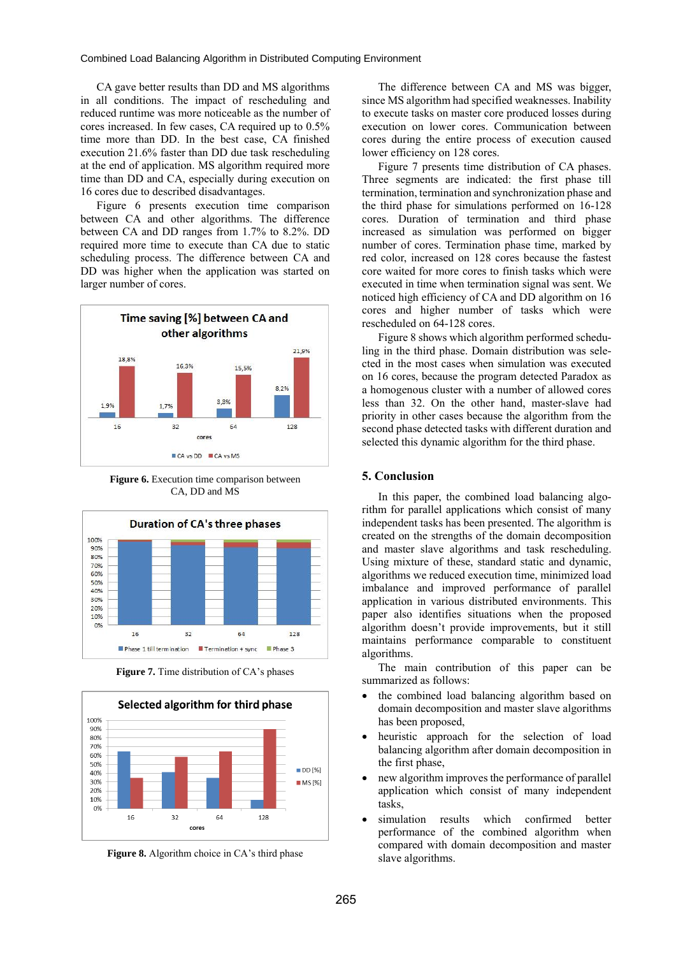CA gave better results than DD and MS algorithms in all conditions. The impact of rescheduling and reduced runtime was more noticeable as the number of cores increased. In few cases, CA required up to 0.5% time more than DD. In the best case, CA finished execution 21.6% faster than DD due task rescheduling at the end of application. MS algorithm required more time than DD and CA, especially during execution on 16 cores due to described disadvantages.

Figure 6 presents execution time comparison between CA and other algorithms. The difference between CA and DD ranges from 1.7% to 8.2%. DD required more time to execute than CA due to static scheduling process. The difference between CA and DD was higher when the application was started on larger number of cores.



**Figure 6.** Execution time comparison between CA, DD and MS



**Figure 7.** Time distribution of CA's phases



**Figure 8.** Algorithm choice in CA's third phase

The difference between CA and MS was bigger, since MS algorithm had specified weaknesses. Inability to execute tasks on master core produced losses during execution on lower cores. Communication between cores during the entire process of execution caused lower efficiency on 128 cores.

Figure 7 presents time distribution of CA phases. Three segments are indicated: the first phase till termination, termination and synchronization phase and the third phase for simulations performed on 16-128 cores. Duration of termination and third phase increased as simulation was performed on bigger number of cores. Termination phase time, marked by red color, increased on 128 cores because the fastest core waited for more cores to finish tasks which were executed in time when termination signal was sent. We noticed high efficiency of CA and DD algorithm on 16 cores and higher number of tasks which were rescheduled on 64-128 cores.

Figure 8 shows which algorithm performed scheduling in the third phase. Domain distribution was selected in the most cases when simulation was executed on 16 cores, because the program detected Paradox as a homogenous cluster with a number of allowed cores less than 32. On the other hand, master-slave had priority in other cases because the algorithm from the second phase detected tasks with different duration and selected this dynamic algorithm for the third phase.

### **5. Conclusion**

In this paper, the combined load balancing algorithm for parallel applications which consist of many independent tasks has been presented. The algorithm is created on the strengths of the domain decomposition and master slave algorithms and task rescheduling. Using mixture of these, standard static and dynamic, algorithms we reduced execution time, minimized load imbalance and improved performance of parallel application in various distributed environments. This paper also identifies situations when the proposed algorithm doesn't provide improvements, but it still maintains performance comparable to constituent algorithms.

The main contribution of this paper can be summarized as follows:

- the combined load balancing algorithm based on domain decomposition and master slave algorithms has been proposed,
- heuristic approach for the selection of load balancing algorithm after domain decomposition in the first phase,
- new algorithm improves the performance of parallel application which consist of many independent tasks,
- simulation results which confirmed better performance of the combined algorithm when compared with domain decomposition and master slave algorithms.